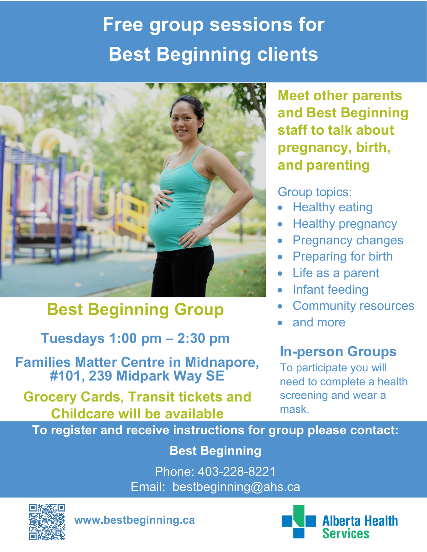# **Free group sessions for Best Beginning clients**



### **Best Beginning Group**

**Tuesdays 1:00 pm – 2:30 pm**

**Families Matter Centre in Midnapore, #101, 239 Midpark Way SE**

**Grocery Cards, Transit tickets and Childcare will be available**

**Meet other parents and Best Beginning staff to talk about pregnancy, birth, and parenting**

Group topics:

- Healthy eating
- Healthy pregnancy
- Pregnancy changes
- Preparing for birth
- Life as a parent
- Infant feeding
- Community resources
- and more

#### **In-person Groups**

To participate you will need to complete a health screening and wear a mask.

**To register and receive instructions for group please contact:**

**Best Beginning**

Phone: 403-228-8221 Email: bestbeginning@ahs.ca



**www.bestbeginning.ca**